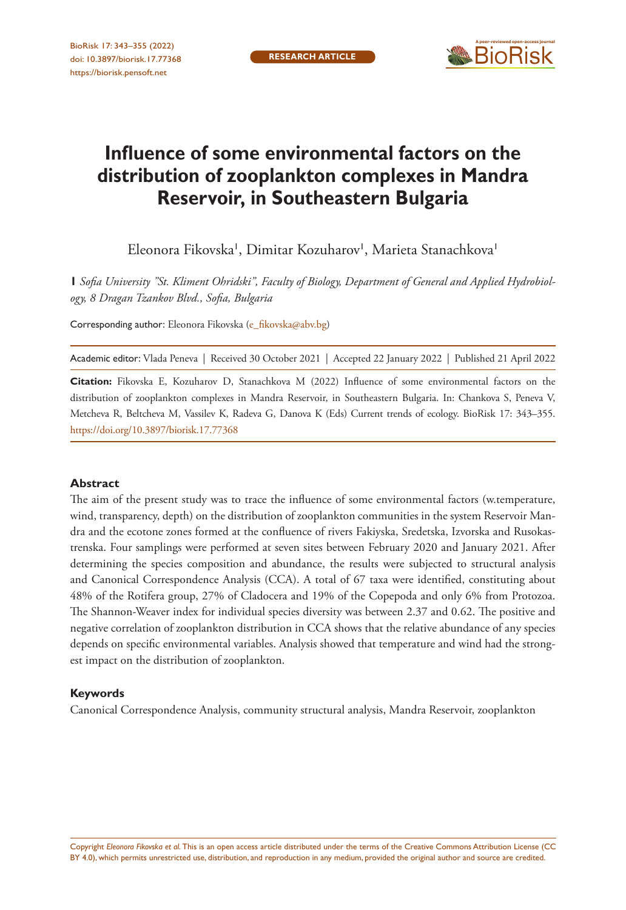

# **Influence of some environmental factors on the distribution of zooplankton complexes in Mandra Reservoir, in Southeastern Bulgaria**

Eleonora Fikovska', Dimitar Kozuharov', Marieta Stanachkova'

**1** *Sofia University "St. Kliment Ohridski", Faculty of Biology, Department of General and Applied Hydrobiology, 8 Dragan Tzankov Blvd., Sofia, Bulgaria*

Corresponding author: Eleonora Fikovska [\(e\\_fikovska@abv.bg](mailto:e_fikovska@abv.bg))

Academic editor: Vlada Peneva | Received 30 October 2021 | Accepted 22 January 2022 | Published 21 April 2022

**Citation:** Fikovska E, Kozuharov D, Stanachkova M (2022) Influence of some environmental factors on the distribution of zooplankton complexes in Mandra Reservoir, in Southeastern Bulgaria. In: Chankova S, Peneva V, Metcheva R, Beltcheva M, Vassilev K, Radeva G, Danova K (Eds) Current trends of ecology. BioRisk 17: 343–355. <https://doi.org/10.3897/biorisk.17.77368>

#### **Abstract**

The aim of the present study was to trace the influence of some environmental factors (w.temperature, wind, transparency, depth) on the distribution of zooplankton communities in the system Reservoir Mandra and the ecotone zones formed at the confluence of rivers Fakiyska, Sredetska, Izvorska and Rusokastrenska. Four samplings were performed at seven sites between February 2020 and January 2021. After determining the species composition and abundance, the results were subjected to structural analysis and Canonical Correspondence Analysis (CCA). A total of 67 taxa were identified, constituting about 48% of the Rotifera group, 27% of Cladocera and 19% of the Copepoda and only 6% from Protozoa. The Shannon-Weaver index for individual species diversity was between 2.37 and 0.62. The positive and negative correlation of zooplankton distribution in CCA shows that the relative abundance of any species depends on specific environmental variables. Analysis showed that temperature and wind had the strongest impact on the distribution of zooplankton.

#### **Keywords**

Canonical Correspondence Analysis, community structural analysis, Mandra Reservoir, zooplankton

Copyright *Eleonora Fikovska et al.* This is an open access article distributed under the terms of the [Creative Commons Attribution License \(CC](http://creativecommons.org/licenses/by/4.0/)  [BY 4.0\)](http://creativecommons.org/licenses/by/4.0/), which permits unrestricted use, distribution, and reproduction in any medium, provided the original author and source are credited.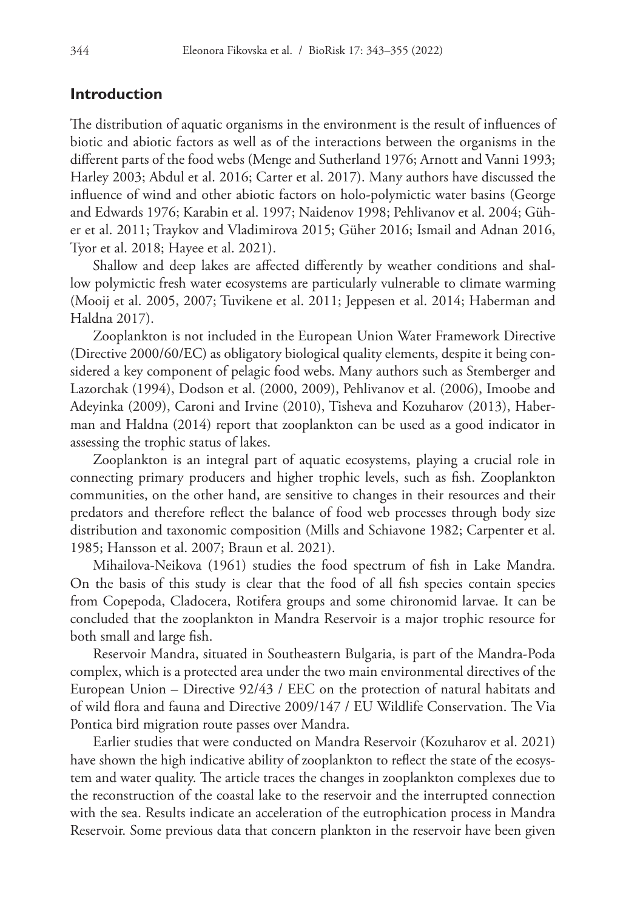# **Introduction**

The distribution of aquatic organisms in the environment is the result of influences of biotic and abiotic factors as well as of the interactions between the organisms in the different parts of the food webs (Menge and Sutherland 1976; Arnott and Vanni 1993; Harley 2003; Abdul et al. 2016; Carter et al. 2017). Many authors have discussed the influence of wind and other abiotic factors on holo-polymictic water basins (George and Edwards 1976; Karabin et al. 1997; Naidenov 1998; Pehlivanov et al. 2004; Güher et al. 2011; Traykov and Vladimirova 2015; Güher 2016; Ismail and Adnan 2016, Tyor et al. 2018; Hayee et al. 2021).

Shallow and deep lakes are affected differently by weather conditions and shallow polymictic fresh water ecosystems are particularly vulnerable to climate warming (Mooij et al. 2005, 2007; Tuvikene et al. 2011; Jeppesen et al. 2014; Haberman and Haldna 2017).

Zooplankton is not included in the European Union Water Framework Directive (Directive 2000/60/EC) as obligatory biological quality elements, despite it being considered a key component of pelagic food webs. Many authors such as Stemberger and Lazorchak (1994), Dodson et al. (2000, 2009), Pehlivanov et al. (2006), Imoobe and Adeyinka (2009), Caroni and Irvine (2010), Tisheva and Kozuharov (2013), Haberman and Haldna (2014) report that zooplankton can be used as a good indicator in assessing the trophic status of lakes.

Zooplankton is an integral part of aquatic ecosystems, playing a crucial role in connecting primary producers and higher trophic levels, such as fish. Zooplankton communities, on the other hand, are sensitive to changes in their resources and their predators and therefore reflect the balance of food web processes through body size distribution and taxonomic composition (Mills and Schiavone 1982; Carpenter et al. 1985; Hansson et al. 2007; Braun et al. 2021).

Mihailova-Neikova (1961) studies the food spectrum of fish in Lake Mandra. On the basis of this study is clear that the food of all fish species contain species from Copepoda, Cladocera, Rotifera groups and some chironomid larvae. It can be concluded that the zooplankton in Mandra Reservoir is a major trophic resource for both small and large fish.

Reservoir Mandra, situated in Southeastern Bulgaria, is part of the Mandra-Poda complex, which is a protected area under the two main environmental directives of the European Union – Directive 92/43 / EEC on the protection of natural habitats and of wild flora and fauna and Directive 2009/147 / EU Wildlife Conservation. The Via Pontica bird migration route passes over Mandra.

Earlier studies that were conducted on Mandra Reservoir (Kozuharov et al. 2021) have shown the high indicative ability of zooplankton to reflect the state of the ecosystem and water quality. The article traces the changes in zooplankton complexes due to the reconstruction of the coastal lake to the reservoir and the interrupted connection with the sea. Results indicate an acceleration of the eutrophication process in Mandra Reservoir. Some previous data that concern plankton in the reservoir have been given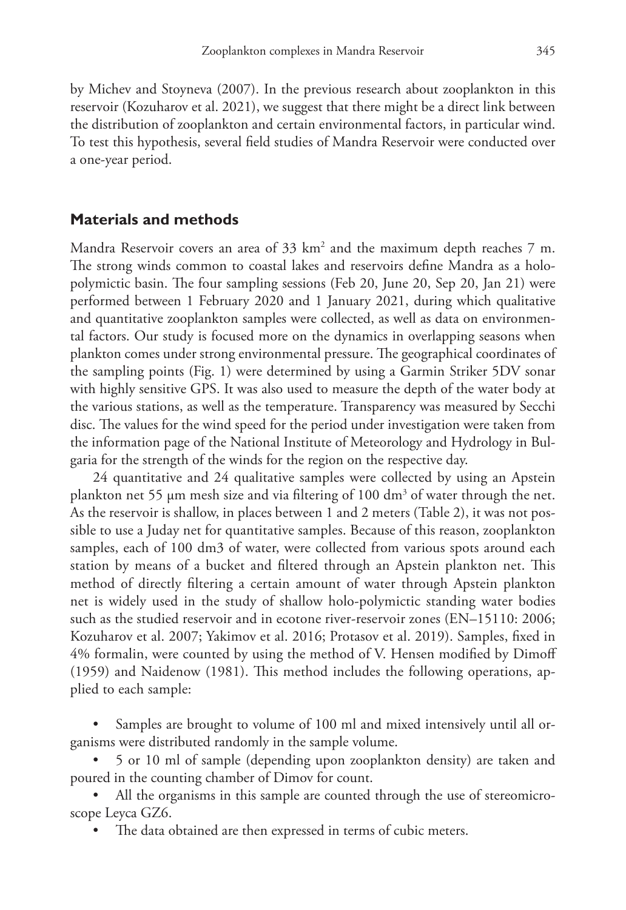by Michev and Stoyneva (2007). In the previous research about zooplankton in this reservoir (Kozuharov et al. 2021), we suggest that there might be a direct link between the distribution of zooplankton and certain environmental factors, in particular wind. To test this hypothesis, several field studies of Mandra Reservoir were conducted over a one-year period.

## **Materials and methods**

Mandra Reservoir covers an area of 33 km2 and the maximum depth reaches 7 m. The strong winds common to coastal lakes and reservoirs define Mandra as a holopolymictic basin. The four sampling sessions (Feb 20, June 20, Sep 20, Jan 21) were performed between 1 February 2020 and 1 January 2021, during which qualitative and quantitative zooplankton samples were collected, as well as data on environmental factors. Our study is focused more on the dynamics in overlapping seasons when plankton comes under strong environmental pressure. The geographical coordinates of the sampling points (Fig. 1) were determined by using a Garmin Striker 5DV sonar with highly sensitive GPS. It was also used to measure the depth of the water body at the various stations, as well as the temperature. Transparency was measured by Secchi disc. The values for the wind speed for the period under investigation were taken from the information page of the National Institute of Meteorology and Hydrology in Bulgaria for the strength of the winds for the region on the respective day.

24 quantitative and 24 qualitative samples were collected by using an Apstein plankton net 55 µm mesh size and via filtering of 100 dm3 of water through the net. As the reservoir is shallow, in places between 1 and 2 meters (Table 2), it was not possible to use a Juday net for quantitative samples. Because of this reason, zooplankton samples, each of 100 dm3 of water, were collected from various spots around each station by means of a bucket and filtered through an Apstein plankton net. This method of directly filtering a certain amount of water through Apstein plankton net is widely used in the study of shallow holo-polymictic standing water bodies such as the studied reservoir and in ecotone river-reservoir zones (EN–15110: 2006; Kozuharov et al. 2007; Yakimov et al. 2016; Protasov et al. 2019). Samples, fixed in 4% formalin, were counted by using the method of V. Hensen modified by Dimoff (1959) and Naidenow (1981). This method includes the following operations, applied to each sample:

• Samples are brought to volume of 100 ml and mixed intensively until all organisms were distributed randomly in the sample volume.

• 5 or 10 ml of sample (depending upon zooplankton density) are taken and poured in the counting chamber of Dimov for count.

All the organisms in this sample are counted through the use of stereomicroscope Leyca GZ6.

The data obtained are then expressed in terms of cubic meters.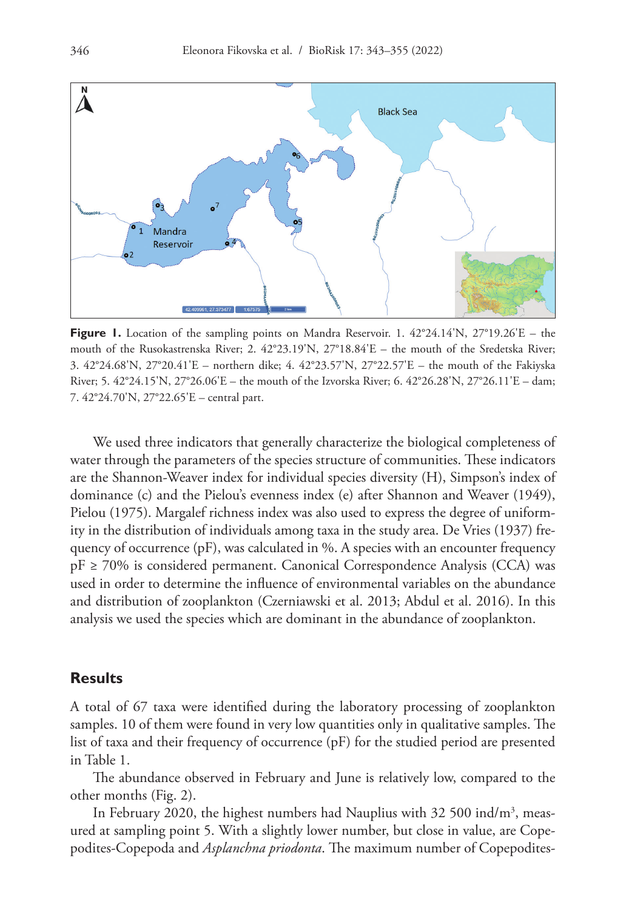

Figure 1. Location of the sampling points on Mandra Reservoir. 1. 42°24.14'N, 27°19.26'E – the mouth of the Rusokastrenska River; 2. 42°23.19'N, 27°18.84'E – the mouth of the Sredetska River; 3. 42°24.68'N, 27°20.41'E – northern dike; 4. 42°23.57'N, 27°22.57'E – the mouth of the Fakiyska River; 5. 42°24.15'N, 27°26.06'E – the mouth of the Izvorska River; 6. 42°26.28'N, 27°26.11'E – dam; 7. 42°24.70'N, 27°22.65'E – central part.

We used three indicators that generally characterize the biological completeness of water through the parameters of the species structure of communities. These indicators are the Shannon-Weaver index for individual species diversity (H), Simpson's index of dominance (c) and the Pielou's evenness index (e) after Shannon and Weaver (1949), Pielou (1975). Margalef richness index was also used to express the degree of uniformity in the distribution of individuals among taxa in the study area. De Vries (1937) frequency of occurrence ( $pF$ ), was calculated in %. A species with an encounter frequency pF ≥ 70% is considered permanent. Canonical Correspondence Analysis (CCA) was used in order to determine the influence of environmental variables on the abundance and distribution of zooplankton (Czerniawski et al. 2013; Abdul et al. 2016). In this analysis we used the species which are dominant in the abundance of zooplankton.

#### **Results**

A total of 67 taxa were identified during the laboratory processing of zooplankton samples. 10 of them were found in very low quantities only in qualitative samples. The list of taxa and their frequency of occurrence (pF) for the studied period are presented in Table 1.

The abundance observed in February and June is relatively low, compared to the other months (Fig. 2).

In February 2020, the highest numbers had Nauplius with 32 500 ind/m<sup>3</sup>, measured at sampling point 5. With a slightly lower number, but close in value, are Copepodites-Copepoda and *Asplanchna priodonta*. The maximum number of Copepodites-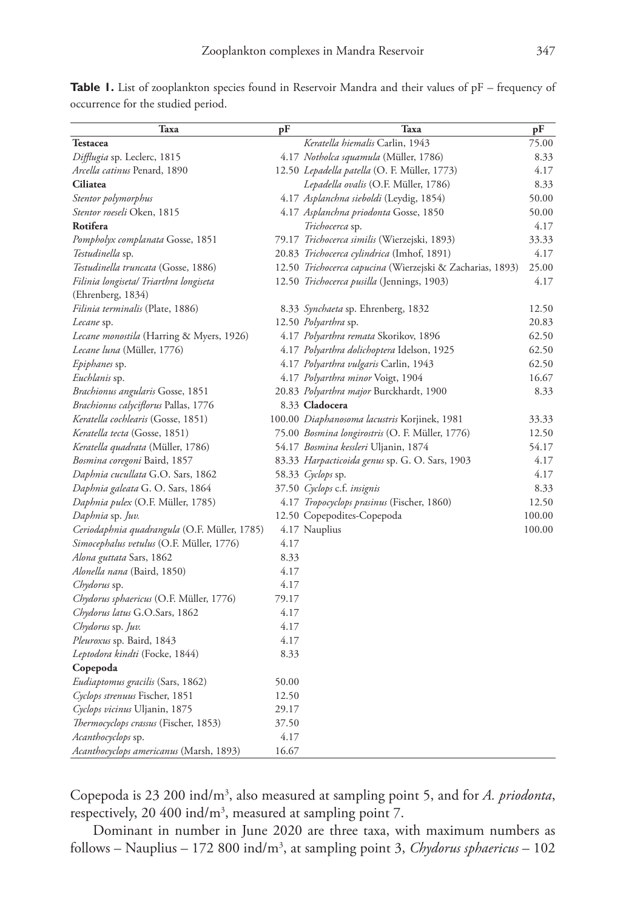| Taxa                                            | pF    | Taxa                                                      | $\mathbf{p} \mathbf{F}$ |
|-------------------------------------------------|-------|-----------------------------------------------------------|-------------------------|
| <b>Testacea</b>                                 |       | Keratella hiemalis Carlin, 1943                           | 75.00                   |
| Difflugia sp. Leclerc, 1815                     |       | 4.17 Notholca squamula (Müller, 1786)                     |                         |
| <i>Arcella catinus</i> Penard, 1890             |       | 12.50 Lepadella patella (O. F. Müller, 1773)              |                         |
| Ciliatea                                        |       | Lepadella ovalis (O.F. Müller, 1786)                      |                         |
| Stentor polymorphus                             |       | 4.17 Asplanchna sieboldi (Leydig, 1854)                   | 8.33<br>50.00           |
| Stentor roeseli Oken, 1815                      |       | 4.17 Asplanchna priodonta Gosse, 1850                     | 50.00                   |
| Rotifera                                        |       | <i>Trichocerca</i> sp.                                    | 4.17                    |
| Pompholyx complanata Gosse, 1851                |       | 79.17 Trichocerca similis (Wierzejski, 1893)              |                         |
| Testudinella sp.                                |       | 20.83 Trichocerca cylindrica (Imhof, 1891)                | 33.33<br>4.17           |
| Testudinella truncata (Gosse, 1886)             |       | 12.50 Trichocerca capucina (Wierzejski & Zacharias, 1893) | 25.00                   |
| Filinia longiseta/ Triarthra longiseta          |       | 12.50 Trichocerca pusilla (Jennings, 1903)                | 4.17                    |
| (Ehrenberg, 1834)                               |       |                                                           |                         |
| Filinia terminalis (Plate, 1886)                |       | 8.33 Synchaeta sp. Ehrenberg, 1832                        | 12.50                   |
| Lecane sp.                                      |       | 12.50 Polyarthra sp.                                      | 20.83                   |
| <i>Lecane monostila</i> (Harring & Myers, 1926) |       | 4.17 Polyarthra remata Skorikov, 1896                     | 62.50                   |
| Lecane luna (Müller, 1776)                      |       | 4.17 Polyarthra dolichoptera Idelson, 1925                | 62.50                   |
| Epiphanes sp.                                   |       | 4.17 Polyarthra vulgaris Carlin, 1943                     | 62.50                   |
| Euchlanis sp.                                   |       | 4.17 Polyarthra minor Voigt, 1904                         | 16.67                   |
| Brachionus angularis Gosse, 1851                |       | 20.83 Polyarthra major Burckhardt, 1900                   | 8.33                    |
| <i>Brachionus calyciflorus Pallas</i> , 1776    |       | 8.33 Cladocera                                            |                         |
| Keratella cochlearis (Gosse, 1851)              |       | 100.00 Diaphanosoma lacustris Korjinek, 1981              | 33.33                   |
| Keratella tecta (Gosse, 1851)                   |       | 75.00 <i>Bosmina longirostris</i> (O. F. Müller, 1776)    | 12.50                   |
| <i>Keratella quadrata</i> (Müller, 1786)        |       | 54.17 <i>Bosmina kessleri</i> Uljanin, 1874               | 54.17                   |
| Bosmina coregoni Baird, 1857                    |       | 83.33 Harpacticoida genus sp. G. O. Sars, 1903            | 4.17                    |
| Daphnia cucullata G.O. Sars, 1862               |       | 58.33 Cyclops sp.                                         | 4.17                    |
| Daphnia galeata G. O. Sars, 1864                |       | 37.50 Cyclops c.f. insignis                               | 8.33                    |
| Daphnia pulex (O.F. Müller, 1785)               |       | 4.17 Tropocyclops prasinus (Fischer, 1860)                | 12.50                   |
| Daphnia sp. Juv.                                |       | 12.50 Copepodites-Copepoda                                |                         |
| Ceriodaphnia quadrangula (O.F. Müller, 1785)    |       | 4.17 Nauplius                                             | 100.00<br>100.00        |
| Simocephalus vetulus (O.F. Müller, 1776)        | 4.17  |                                                           |                         |
| Alona guttata Sars, 1862                        | 8.33  |                                                           |                         |
| Alonella nana (Baird, 1850)                     | 4.17  |                                                           |                         |
| Chydorus sp.                                    | 4.17  |                                                           |                         |
| Chydorus sphaericus (O.F. Müller, 1776)         | 79.17 |                                                           |                         |
| Chydorus latus G.O.Sars, 1862                   | 4.17  |                                                           |                         |
| Chydorus sp. Juv.                               | 4.17  |                                                           |                         |
| Pleuroxus sp. Baird, 1843                       | 4.17  |                                                           |                         |
| Leptodora kindti (Focke, 1844)                  | 8.33  |                                                           |                         |
| Copepoda                                        |       |                                                           |                         |
| Eudiaptomus gracilis (Sars, 1862)               | 50.00 |                                                           |                         |
| Cyclops strenuus Fischer, 1851                  | 12.50 |                                                           |                         |
| Cyclops vicinus Uljanin, 1875                   | 29.17 |                                                           |                         |
| Thermocyclops crassus (Fischer, 1853)           | 37.50 |                                                           |                         |
| <i>Acanthocyclops</i> sp.                       | 4.17  |                                                           |                         |
| Acanthocyclops americanus (Marsh, 1893)         | 16.67 |                                                           |                         |

**Table 1.** List of zooplankton species found in Reservoir Mandra and their values of pF – frequency of occurrence for the studied period.

Copepoda is 23 200 ind/m<sup>3</sup>, also measured at sampling point 5, and for *A. priodonta*, respectively, 20 400 ind/m<sup>3</sup>, measured at sampling point 7.

Dominant in number in June 2020 are three taxa, with maximum numbers as follows – Nauplius – 172 800 ind/m<sup>3</sup>, at sampling point 3, *Chydorus sphaericus* – 102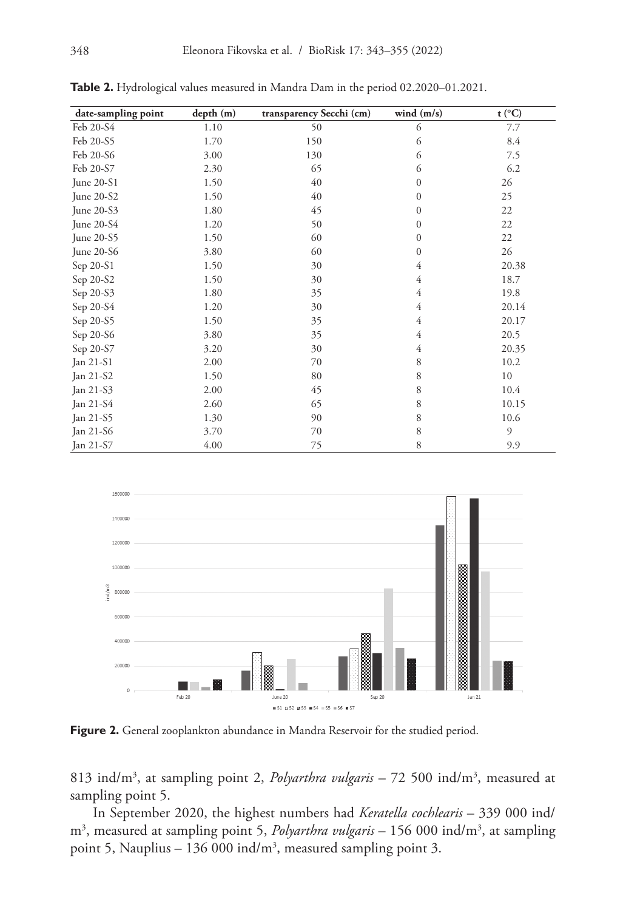| date-sampling point | depth(m) | transparency Secchi (cm) | wind $(m/s)$     | $t$ (°C)       |
|---------------------|----------|--------------------------|------------------|----------------|
| Feb 20-S4           | 1.10     | 50                       | 6                | 7.7            |
| Feb 20-S5           | 1.70     | 150                      | 6                | 8.4            |
| Feb 20-S6           | 3.00     | 130                      | 6                | 7.5            |
| Feb 20-S7           | 2.30     | 65                       | 6                | 6.2            |
| June 20-S1          | 1.50     | 40                       | $\mathbf{0}$     | 26             |
| June 20-S2          | 1.50     | 40                       | $\mathbf{0}$     | 25             |
| June 20-S3          | 1.80     | 45                       | $\mathbf{0}$     | 22             |
| June 20-S4          | 1.20     | 50                       | $\boldsymbol{0}$ | 22             |
| June 20-S5          | 1.50     | 60                       | $\mathbf{0}$     | 22             |
| June 20-S6          | 3.80     | 60                       | $\mathbf{0}$     | 26             |
| Sep 20-S1           | 1.50     | 30                       | $\overline{4}$   | 20.38          |
| Sep 20-S2           | 1.50     | 30                       | $\overline{4}$   | 18.7           |
| Sep 20-S3           | 1.80     | 35                       | $\overline{4}$   | 19.8           |
| Sep 20-S4           | 1.20     | 30                       | $\overline{4}$   | 20.14          |
| Sep 20-S5           | 1.50     | 35                       | 4                | 20.17          |
| Sep 20-S6           | 3.80     | 35                       | $\overline{4}$   | 20.5           |
| Sep 20-S7           | 3.20     | 30                       | $\overline{4}$   | 20.35          |
| Jan 21-S1           | 2.00     | 70                       | 8                | 10.2           |
| Jan 21-S2           | 1.50     | 80                       | 8                | 10             |
| Jan 21-S3           | 2.00     | 45                       | 8                | 10.4           |
| Jan 21-S4           | 2.60     | 65                       | 8                | 10.15          |
| Jan 21-S5           | 1.30     | 90                       | 8                | 10.6           |
| Jan 21-S6           | 3.70     | 70                       | 8                | $\mathfrak{g}$ |
| Jan 21-S7           | 4.00     | 75                       | 8                | 9.9            |

**Table 2.** Hydrological values measured in Mandra Dam in the period 02.2020–01.2021.



**Figure 2.** General zooplankton abundance in Mandra Reservoir for the studied period.

813 ind/m3 , at sampling point 2, *Polyarthra vulgaris* – 72 500 ind/m3 , measured at sampling point 5.

In September 2020, the highest numbers had *Keratella cochlearis* – 339 000 ind/ m<sup>3</sup>, measured at sampling point 5, *Polyarthra vulgaris* – 156 000 ind/m<sup>3</sup>, at sampling point 5, Nauplius –  $136\,000$  ind/m<sup>3</sup>, measured sampling point 3.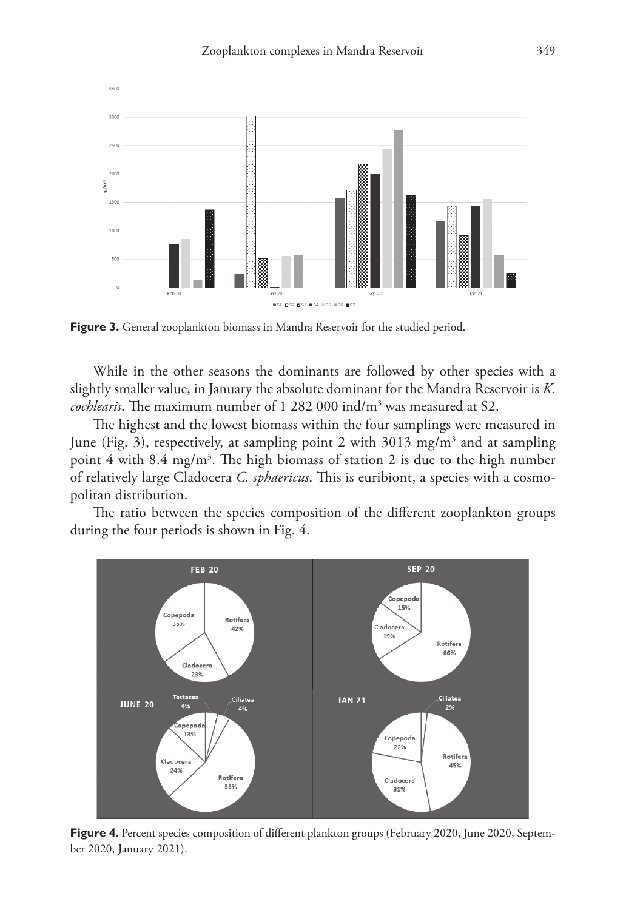

**Figure 3.** General zooplankton biomass in Mandra Reservoir for the studied period.

While in the other seasons the dominants are followed by other species with a slightly smaller value, in January the absolute dominant for the Mandra Reservoir is *K. cochlearis*. The maximum number of 1 282 000 ind/m3 was measured at S2.

The highest and the lowest biomass within the four samplings were measured in June (Fig. 3), respectively, at sampling point 2 with 3013 mg/m<sup>3</sup> and at sampling point 4 with 8.4 mg/m3 . The high biomass of station 2 is due to the high number of relatively large Cladocera *C. sphaericus*. This is euribiont, a species with a cosmopolitan distribution.

The ratio between the species composition of the different zooplankton groups during the four periods is shown in Fig. 4.



**Figure 4.** Percent species composition of different plankton groups (February 2020, June 2020, September 2020, January 2021).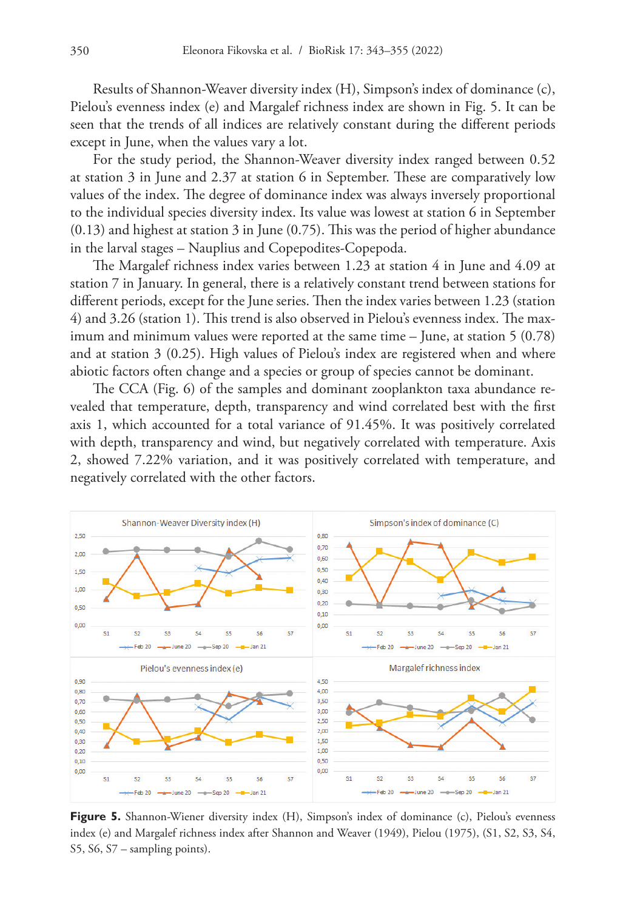Results of Shannon-Weaver diversity index (H), Simpson's index of dominance (c), Pielou's evenness index (e) and Margalef richness index are shown in Fig. 5. It can be seen that the trends of all indices are relatively constant during the different periods except in June, when the values vary a lot.

For the study period, the Shannon-Weaver diversity index ranged between 0.52 at station 3 in June and 2.37 at station 6 in September. These are comparatively low values of the index. The degree of dominance index was always inversely proportional to the individual species diversity index. Its value was lowest at station 6 in September (0.13) and highest at station 3 in June (0.75). This was the period of higher abundance in the larval stages – Nauplius and Copepodites-Copepoda.

The Margalef richness index varies between 1.23 at station 4 in June and 4.09 at station 7 in January. In general, there is a relatively constant trend between stations for different periods, except for the June series. Then the index varies between 1.23 (station 4) and 3.26 (station 1). This trend is also observed in Pielou's evenness index. The maximum and minimum values were reported at the same time – June, at station 5 (0.78) and at station 3 (0.25). High values of Pielou's index are registered when and where abiotic factors often change and a species or group of species cannot be dominant.

The CCA (Fig. 6) of the samples and dominant zooplankton taxa abundance revealed that temperature, depth, transparency and wind correlated best with the first axis 1, which accounted for a total variance of 91.45%. It was positively correlated with depth, transparency and wind, but negatively correlated with temperature. Axis 2, showed 7.22% variation, and it was positively correlated with temperature, and negatively correlated with the other factors.



Figure 5. Shannon-Wiener diversity index (H), Simpson's index of dominance (c), Pielou's evenness index (e) and Margalef richness index after Shannon and Weaver (1949), Pielou (1975), (S1, S2, S3, S4, S5, S6, S7 – sampling points).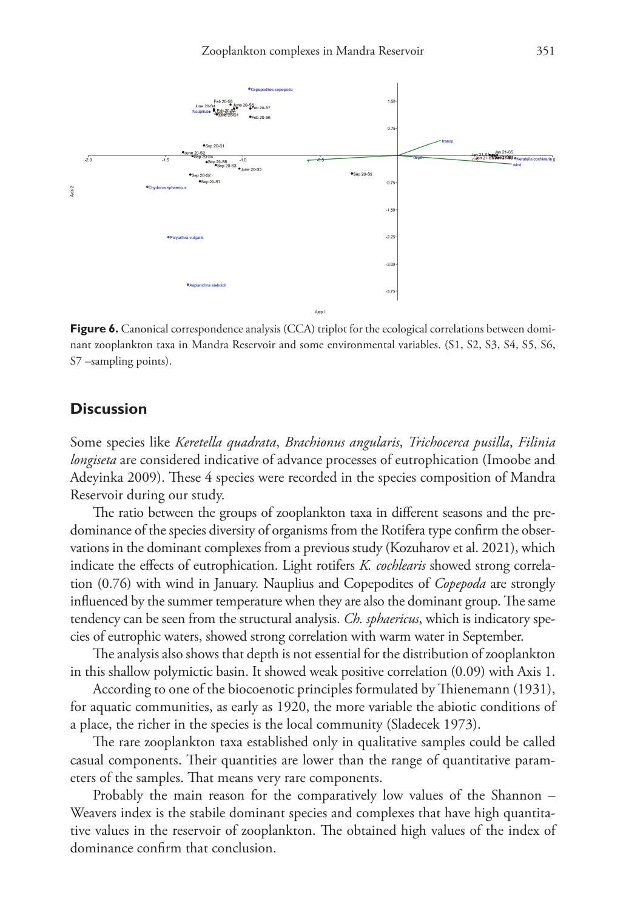

**Figure 6.** Canonical correspondence analysis (CCA) triplot for the ecological correlations between dominant zooplankton taxa in Mandra Reservoir and some environmental variables. (S1, S2, S3, S4, S5, S6, S7 –sampling points).

## **Discussion**

Some species like *Keretella quadrata*, *Brachionus angularis*, *Trichocerca pusilla*, *Filinia longiseta* are considered indicative of advance processes of eutrophication (Imoobe and Adeyinka 2009). These 4 species were recorded in the species composition of Mandra Reservoir during our study.

The ratio between the groups of zooplankton taxa in different seasons and the predominance of the species diversity of organisms from the Rotifera type confirm the observations in the dominant complexes from a previous study (Kozuharov et al. 2021), which indicate the effects of eutrophication. Light rotifers *K. cochlearis* showed strong correlation (0.76) with wind in January. Nauplius and Copepodites of *Copepoda* are strongly influenced by the summer temperature when they are also the dominant group. The same tendency can be seen from the structural analysis. *Ch. sphaericus*, which is indicatory species of eutrophic waters, showed strong correlation with warm water in September.

The analysis also shows that depth is not essential for the distribution of zooplankton in this shallow polymictic basin. It showed weak positive correlation (0.09) with Axis 1.

According to one of the biocoenotic principles formulated by Thienemann (1931), for aquatic communities, as early as 1920, the more variable the abiotic conditions of a place, the richer in the species is the local community (Sladecek 1973).

The rare zooplankton taxa established only in qualitative samples could be called casual components. Their quantities are lower than the range of quantitative parameters of the samples. That means very rare components.

Probably the main reason for the comparatively low values of the Shannon – Weavers index is the stabile dominant species and complexes that have high quantitative values in the reservoir of zooplankton. The obtained high values of the index of dominance confirm that conclusion.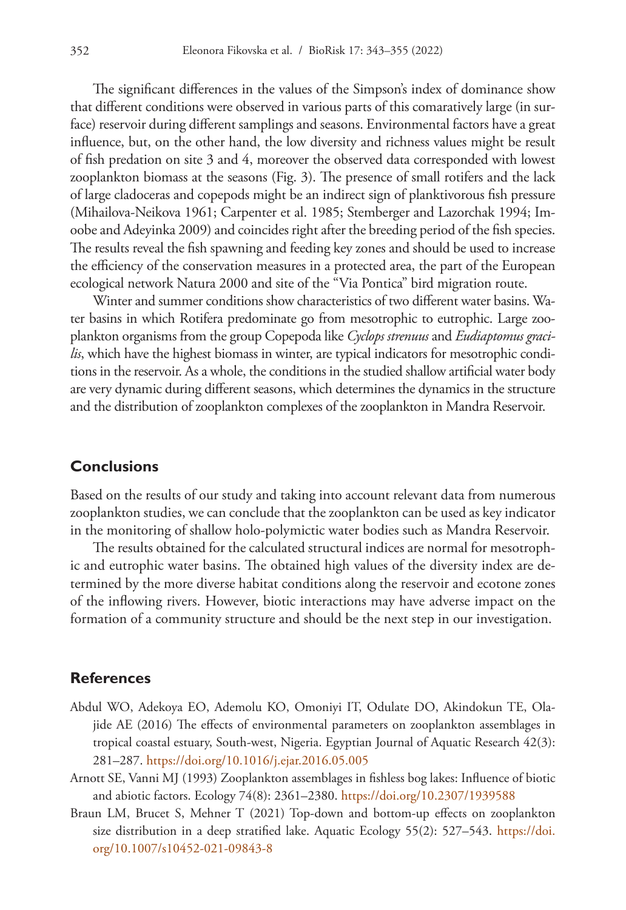The significant differences in the values of the Simpson's index of dominance show that different conditions were observed in various parts of this comaratively large (in surface) reservoir during different samplings and seasons. Environmental factors have a great influence, but, on the other hand, the low diversity and richness values might be result of fish predation on site 3 and 4, moreover the observed data corresponded with lowest zooplankton biomass at the seasons (Fig. 3). The presence of small rotifers and the lack of large cladoceras and copepods might be an indirect sign of planktivorous fish pressure (Mihailova-Neikova 1961; Carpenter et al. 1985; Stemberger and Lazorchak 1994; Imoobe and Adeyinka 2009) and coincides right after the breeding period of the fish species. The results reveal the fish spawning and feeding key zones and should be used to increase the efficiency of the conservation measures in a protected area, the part of the European ecological network Natura 2000 and site of the "Via Pontica" bird migration route.

Winter and summer conditions show characteristics of two different water basins. Water basins in which Rotifera predominate go from mesotrophic to eutrophic. Large zooplankton organisms from the group Copepoda like *Cyclops strenuus* and *Eudiaptomus gracilis*, which have the highest biomass in winter, are typical indicators for mesotrophic conditions in the reservoir. As a whole, the conditions in the studied shallow artificial water body are very dynamic during different seasons, which determines the dynamics in the structure and the distribution of zooplankton complexes of the zooplankton in Mandra Reservoir.

## **Conclusions**

Based on the results of our study and taking into account relevant data from numerous zooplankton studies, we can conclude that the zooplankton can be used as key indicator in the monitoring of shallow holo-polymictic water bodies such as Mandra Reservoir.

The results obtained for the calculated structural indices are normal for mesotrophic and eutrophic water basins. The obtained high values of the diversity index are determined by the more diverse habitat conditions along the reservoir and ecotone zones of the inflowing rivers. However, biotic interactions may have adverse impact on the formation of a community structure and should be the next step in our investigation.

# **References**

- Abdul WO, Adekoya EO, Ademolu KO, Omoniyi IT, Odulate DO, Akindokun TE, Olajide AE (2016) The effects of environmental parameters on zooplankton assemblages in tropical coastal estuary, South-west, Nigeria. Egyptian Journal of Aquatic Research 42(3): 281–287.<https://doi.org/10.1016/j.ejar.2016.05.005>
- Arnott SE, Vanni MJ (1993) Zooplankton assemblages in fishless bog lakes: Influence of biotic and abiotic factors. Ecology 74(8): 2361–2380.<https://doi.org/10.2307/1939588>
- Braun LM, Brucet S, Mehner T (2021) Top-down and bottom-up effects on zooplankton size distribution in a deep stratified lake. Aquatic Ecology 55(2): 527–543. [https://doi.](https://doi.org/10.1007/s10452-021-09843-8) [org/10.1007/s10452-021-09843-8](https://doi.org/10.1007/s10452-021-09843-8)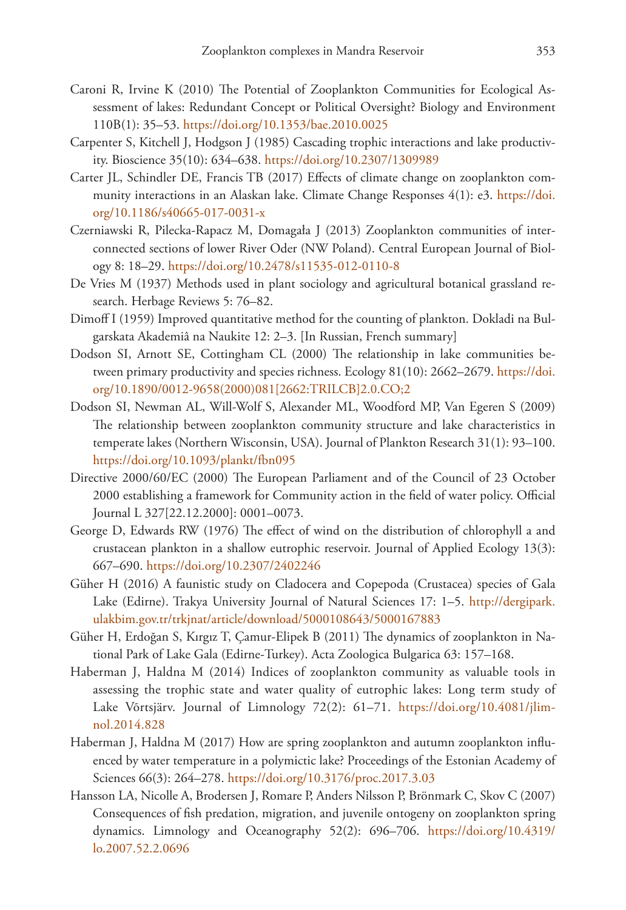- Caroni R, Irvine K (2010) The Potential of Zooplankton Communities for Ecological Assessment of lakes: Redundant Concept or Political Oversight? Biology and Environment 110B(1): 35–53. <https://doi.org/10.1353/bae.2010.0025>
- Carpenter S, Kitchell J, Hodgson J (1985) Cascading trophic interactions and lake productivity. Bioscience 35(10): 634–638. <https://doi.org/10.2307/1309989>
- Carter JL, Schindler DE, Francis TB (2017) Effects of climate change on zooplankton community interactions in an Alaskan lake. Climate Change Responses 4(1): e3. [https://doi.](https://doi.org/10.1186/s40665-017-0031-x) [org/10.1186/s40665-017-0031-x](https://doi.org/10.1186/s40665-017-0031-x)
- Czerniawski R, Pilecka-Rapacz M, Domagała J (2013) Zooplankton communities of interconnected sections of lower River Oder (NW Poland). Central European Journal of Biology 8: 18–29. <https://doi.org/10.2478/s11535-012-0110-8>
- De Vries M (1937) Methods used in plant sociology and agricultural botanical grassland research. Herbage Reviews 5: 76–82.
- Dimoff I (1959) Improved quantitative method for the counting of plankton. Dokladi na Bulgarskata Akademiâ na Naukite 12: 2–3. [In Russian, French summary]
- Dodson SI, Arnott SE, Cottingham CL (2000) The relationship in lake communities between primary productivity and species richness. Ecology 81(10): 2662–2679. [https://doi.](https://doi.org/10.1890/0012-9658(2000)081%5B2662:TRILCB%5D2.0.CO;2) [org/10.1890/0012-9658\(2000\)081\[2662:TRILCB\]2.0.CO;2](https://doi.org/10.1890/0012-9658(2000)081%5B2662:TRILCB%5D2.0.CO;2)
- Dodson SI, Newman AL, Will-Wolf S, Alexander ML, Woodford MP, Van Egeren S (2009) The relationship between zooplankton community structure and lake characteristics in temperate lakes (Northern Wisconsin, USA). Journal of Plankton Research 31(1): 93–100. <https://doi.org/10.1093/plankt/fbn095>
- Directive 2000/60/EC (2000) The European Parliament and of the Council of 23 October 2000 establishing a framework for Community action in the field of water policy. Official Journal L 327[22.12.2000]: 0001–0073.
- George D, Edwards RW (1976) The effect of wind on the distribution of chlorophyll a and crustacean plankton in a shallow eutrophic reservoir. Journal of Applied Ecology 13(3): 667–690.<https://doi.org/10.2307/2402246>
- Güher H (2016) A faunistic study on Cladocera and Copepoda (Crustacea) species of Gala Lake (Edirne). Trakya University Journal of Natural Sciences 17: 1–5. [http://dergipark.](http://dergipark.ulakbim.gov.tr/trkjnat/article/download/5000108643/5000167883) [ulakbim.gov.tr/trkjnat/article/download/5000108643/5000167883](http://dergipark.ulakbim.gov.tr/trkjnat/article/download/5000108643/5000167883)
- Güher H, Erdoğan S, Kırgız T, Çamur-Elipek B (2011) The dynamics of zooplankton in National Park of Lake Gala (Edirne-Turkey). Acta Zoologica Bulgarica 63: 157–168.
- Haberman J, Haldna M (2014) Indices of zooplankton community as valuable tools in assessing the trophic state and water quality of eutrophic lakes: Long term study of Lake Võrtsjärv. Journal of Limnology 72(2): 61–71. [https://doi.org/10.4081/jlim](https://doi.org/10.4081/jlimnol.2014.828)[nol.2014.828](https://doi.org/10.4081/jlimnol.2014.828)
- Haberman J, Haldna M (2017) How are spring zooplankton and autumn zooplankton influenced by water temperature in a polymictic lake? Proceedings of the Estonian Academy of Sciences 66(3): 264–278.<https://doi.org/10.3176/proc.2017.3.03>
- Hansson LA, Nicolle A, Brodersen J, Romare P, Anders Nilsson P, Brönmark C, Skov C (2007) Consequences of fish predation, migration, and juvenile ontogeny on zooplankton spring dynamics. Limnology and Oceanography 52(2): 696–706. [https://doi.org/10.4319/](https://doi.org/10.4319/lo.2007.52.2.0696) [lo.2007.52.2.0696](https://doi.org/10.4319/lo.2007.52.2.0696)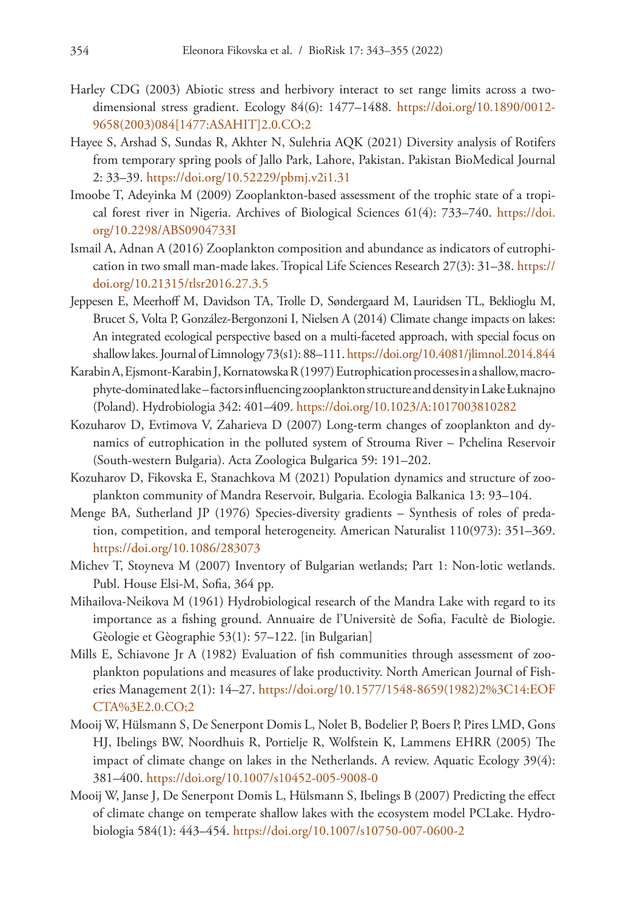- Harley CDG (2003) Abiotic stress and herbivory interact to set range limits across a twodimensional stress gradient. Ecology 84(6): 1477–1488. [https://doi.org/10.1890/0012-](https://doi.org/10.1890/0012-9658(2003)084%5B1477:ASAHIT%5D2.0.CO;2) [9658\(2003\)084\[1477:ASAHIT\]2.0.CO;2](https://doi.org/10.1890/0012-9658(2003)084%5B1477:ASAHIT%5D2.0.CO;2)
- Hayee S, Arshad S, Sundas R, Akhter N, Sulehria AQK (2021) Diversity analysis of Rotifers from temporary spring pools of Jallo Park, Lahore, Pakistan. Pakistan BioMedical Journal 2: 33–39.<https://doi.org/10.52229/pbmj.v2i1.31>
- Imoobe T, Adeyinka M (2009) Zooplankton-based assessment of the trophic state of a tropical forest river in Nigeria. Archives of Biological Sciences 61(4): 733–740. [https://doi.](https://doi.org/10.2298/ABS0904733I) [org/10.2298/ABS0904733I](https://doi.org/10.2298/ABS0904733I)
- Ismail A, Adnan A (2016) Zooplankton composition and abundance as indicators of eutrophication in two small man-made lakes. Tropical Life Sciences Research 27(3): 31–38. [https://](https://doi.org/10.21315/tlsr2016.27.3.5) [doi.org/10.21315/tlsr2016.27.3.5](https://doi.org/10.21315/tlsr2016.27.3.5)
- Jeppesen E, Meerhoff M, Davidson TA, Trolle D, Søndergaard M, Lauridsen TL, Beklioglu M, Brucet S, Volta P, González-Bergonzoni I, Nielsen A (2014) Climate change impacts on lakes: An integrated ecological perspective based on a multi-faceted approach, with special focus on shallow lakes. Journal of Limnology 73(s1): 88–111.<https://doi.org/10.4081/jlimnol.2014.844>
- Karabin A, Ejsmont-Karabin J, Kornatowska R (1997) Eutrophication processes in a shallow, macrophyte-dominated lake – factors influencing zooplankton structure and density in Lake Łuknajno (Poland). Hydrobiologia 342: 401–409. <https://doi.org/10.1023/A:1017003810282>
- Kozuharov D, Evtimova V, Zaharieva D (2007) Long-term changes of zooplankton and dynamics of eutrophication in the polluted system of Strouma River – Pchelina Reservoir (South-western Bulgaria). Acta Zoologica Bulgarica 59: 191–202.
- Kozuharov D, Fikovska E, Stanachkova M (2021) Population dynamics and structure of zooplankton community of Mandra Reservoir, Bulgaria. Ecologia Balkanica 13: 93–104.
- Menge BA, Sutherland JP (1976) Species-diversity gradients Synthesis of roles of predation, competition, and temporal heterogeneity. American Naturalist 110(973): 351–369. <https://doi.org/10.1086/283073>
- Michev T, Stoyneva M (2007) Inventory of Bulgarian wetlands; Part 1: Non-lotic wetlands. Publ. House Elsi-M, Sofia, 364 pp.
- Mihailova-Neikova M (1961) Hydrobiological research of the Mandra Lake with regard to its importance as a fishing ground. Annuaire de l'Universitè de Sofia, Facultè de Biologie. Gèologie et Gèographie 53(1): 57–122. [in Bulgarian]
- Mills E, Schiavone Jr A (1982) Evaluation of fish communities through assessment of zooplankton populations and measures of lake productivity. North American Journal of Fisheries Management 2(1): 14–27. [https://doi.org/10.1577/1548-8659\(1982\)2%3C14:EOF](https://doi.org/10.1577/1548-8659(1982)2%3C14:EOFCTA%3E2.0.CO;2) [CTA%3E2.0.CO;2](https://doi.org/10.1577/1548-8659(1982)2%3C14:EOFCTA%3E2.0.CO;2)
- Mooij W, Hülsmann S, De Senerpont Domis L, Nolet B, Bodelier P, Boers P, Pires LMD, Gons HJ, Ibelings BW, Noordhuis R, Portielje R, Wolfstein K, Lammens EHRR (2005) The impact of climate change on lakes in the Netherlands. A review. Aquatic Ecology 39(4): 381–400.<https://doi.org/10.1007/s10452-005-9008-0>
- Mooij W, Janse J, De Senerpont Domis L, Hülsmann S, Ibelings B (2007) Predicting the effect of climate change on temperate shallow lakes with the ecosystem model PCLake. Hydrobiologia 584(1): 443–454.<https://doi.org/10.1007/s10750-007-0600-2>